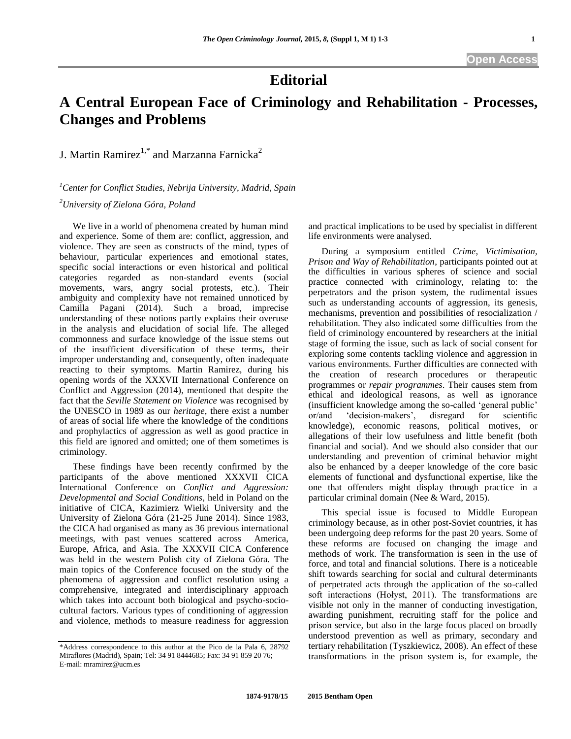## **Editorial**

## **A Central European Face of Criminology and Rehabilitation - Processes, Changes and Problems**

J. Martin Ramirez<sup>1,\*</sup> and Marzanna Farnicka<sup>2</sup>

*<sup>1</sup>Center for Conflict Studies, Nebrija University, Madrid, Spain <sup>2</sup>University of Zielona Góra, Poland*

We live in a world of phenomena created by human mind and experience. Some of them are: conflict, aggression, and violence. They are seen as constructs of the mind, types of behaviour, particular experiences and emotional states, specific social interactions or even historical and political categories regarded as non-standard events (social movements, wars, angry social protests, etc.). Their ambiguity and complexity have not remained unnoticed by Camilla Pagani (2014). Such a broad, imprecise understanding of these notions partly explains their overuse in the analysis and elucidation of social life. The alleged commonness and surface knowledge of the issue stems out of the insufficient diversification of these terms, their improper understanding and, consequently, often inadequate reacting to their symptoms. Martin Ramirez, during his opening words of the XXXVII International Conference on Conflict and Aggression (2014), mentioned that despite the fact that the *Seville Statement on Violence* was recognised by the UNESCO in 1989 as our *heritage*, there exist a number of areas of social life where the knowledge of the conditions and prophylactics of aggression as well as good practice in this field are ignored and omitted; one of them sometimes is criminology.

These findings have been recently confirmed by the participants of the above mentioned XXXVII CICA International Conference on *Conflict and Aggression: Developmental and Social Conditions*, held in Poland on the initiative of CICA, Kazimierz Wielki University and the University of Zielona Góra (21-25 June 2014). Since 1983, the CICA had organised as many as 36 previous international meetings, with past venues scattered across America, Europe, Africa, and Asia. The XXXVII CICA Conference was held in the western Polish city of Zielona Góra. The main topics of the Conference focused on the study of the phenomena of aggression and conflict resolution using a comprehensive, integrated and interdisciplinary approach which takes into account both biological and psycho-sociocultural factors. Various types of conditioning of aggression and violence, methods to measure readiness for aggression and practical implications to be used by specialist in different life environments were analysed.

During a symposium entitled *Crime, Victimisation, Prison and Way of Rehabilitation*, participants pointed out at the difficulties in various spheres of science and social practice connected with criminology, relating to: the perpetrators and the prison system, the rudimental issues such as understanding accounts of aggression, its genesis, mechanisms, prevention and possibilities of resocialization / rehabilitation. They also indicated some difficulties from the field of criminology encountered by researchers at the initial stage of forming the issue, such as lack of social consent for exploring some contents tackling violence and aggression in various environments. Further difficulties are connected with the creation of research procedures or therapeutic programmes or *repair programmes*. Their causes stem from ethical and ideological reasons, as well as ignorance (insufficient knowledge among the so-called "general public" or/and "decision-makers", disregard for scientific knowledge), economic reasons, political motives, or allegations of their low usefulness and little benefit (both financial and social). And we should also consider that our understanding and prevention of criminal behavior might also be enhanced by a deeper knowledge of the core basic elements of functional and dysfunctional expertise, like the one that offenders might display through practice in a particular criminal domain (Nee & Ward, 2015).

This special issue is focused to Middle European criminology because, as in other post-Soviet countries, it has been undergoing deep reforms for the past 20 years. Some of these reforms are focused on changing the image and methods of work. The transformation is seen in the use of force, and total and financial solutions. There is a noticeable shift towards searching for social and cultural determinants of perpetrated acts through the application of the so-called soft interactions (Hołyst, 2011). The transformations are visible not only in the manner of conducting investigation, awarding punishment, recruiting staff for the police and prison service, but also in the large focus placed on broadly understood prevention as well as primary, secondary and tertiary rehabilitation (Tyszkiewicz, 2008). An effect of these transformations in the prison system is, for example, the

<sup>\*</sup>Address correspondence to this author at the Pico de la Pala 6, 28792 Miraflores (Madrid), Spain; Tel: 34 91 8444685; Fax: 34 91 859 20 76; E-mail: mramirez@ucm.es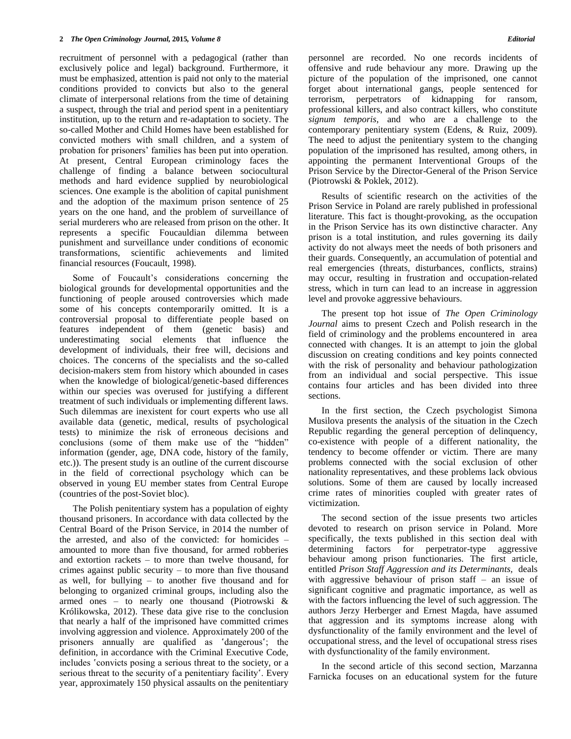recruitment of personnel with a pedagogical (rather than exclusively police and legal) background. Furthermore, it must be emphasized, attention is paid not only to the material conditions provided to convicts but also to the general climate of interpersonal relations from the time of detaining a suspect, through the trial and period spent in a penitentiary institution, up to the return and re-adaptation to society. The so-called Mother and Child Homes have been established for convicted mothers with small children, and a system of probation for prisoners" families has been put into operation. At present, Central European criminology faces the challenge of finding a balance between sociocultural methods and hard evidence supplied by neurobiological sciences. One example is the abolition of capital punishment and the adoption of the maximum prison sentence of 25 years on the one hand, and the problem of surveillance of serial murderers who are released from prison on the other. It represents a specific Foucauldian dilemma between punishment and surveillance under conditions of economic transformations, scientific achievements and limited financial resources (Foucault, 1998).

Some of Foucault"s considerations concerning the biological grounds for developmental opportunities and the functioning of people aroused controversies which made some of his concepts contemporarily omitted. It is a controversial proposal to differentiate people based on features independent of them (genetic basis) and underestimating social elements that influence the development of individuals, their free will, decisions and choices. The concerns of the specialists and the so-called decision-makers stem from history which abounded in cases when the knowledge of biological/genetic-based differences within our species was overused for justifying a different treatment of such individuals or implementing different laws. Such dilemmas are inexistent for court experts who use all available data (genetic, medical, results of psychological tests) to minimize the risk of erroneous decisions and conclusions (some of them make use of the "hidden" information (gender, age, DNA code, history of the family, etc.)). The present study is an outline of the current discourse in the field of correctional psychology which can be observed in young EU member states from Central Europe (countries of the post-Soviet bloc).

The Polish penitentiary system has a population of eighty thousand prisoners. In accordance with data collected by the Central Board of the Prison Service, in 2014 the number of the arrested, and also of the convicted: for homicides – amounted to more than five thousand, for armed robberies and extortion rackets – to more than twelve thousand, for crimes against public security – to more than five thousand as well, for bullying – to another five thousand and for belonging to organized criminal groups, including also the armed ones – to nearly one thousand (Piotrowski & Królikowska, 2012). These data give rise to the conclusion that nearly a half of the imprisoned have committed crimes involving aggression and violence. Approximately 200 of the prisoners annually are qualified as 'dangerous'; the definition, in accordance with the Criminal Executive Code, includes 'convicts posing a serious threat to the society, or a serious threat to the security of a penitentiary facility'. Every year, approximately 150 physical assaults on the penitentiary

personnel are recorded. No one records incidents of offensive and rude behaviour any more. Drawing up the picture of the population of the imprisoned, one cannot forget about international gangs, people sentenced for terrorism, perpetrators of kidnapping for ransom, professional killers, and also contract killers, who constitute *signum temporis*, and who are a challenge to the contemporary penitentiary system (Edens, & Ruiz, 2009). The need to adjust the penitentiary system to the changing population of the imprisoned has resulted, among others, in appointing the permanent Interventional Groups of the Prison Service by the Director-General of the Prison Service (Piotrowski & Poklek, 2012).

Results of scientific research on the activities of the Prison Service in Poland are rarely published in professional literature. This fact is thought-provoking, as the occupation in the Prison Service has its own distinctive character. Any prison is a total institution, and rules governing its daily activity do not always meet the needs of both prisoners and their guards. Consequently, an accumulation of potential and real emergencies (threats, disturbances, conflicts, strains) may occur, resulting in frustration and occupation-related stress, which in turn can lead to an increase in aggression level and provoke aggressive behaviours.

The present top hot issue of *The Open Criminology Journal* aims to present Czech and Polish research in the field of criminology and the problems encountered in area connected with changes. It is an attempt to join the global discussion on creating conditions and key points connected with the risk of personality and behaviour pathologization from an individual and social perspective. This issue contains four articles and has been divided into three sections.

In the first section, the Czech psychologist Simona Musilova presents the analysis of the situation in the Czech Republic regarding the general perception of delinquency, co-existence with people of a different nationality, the tendency to become offender or victim. There are many problems connected with the social exclusion of other nationality representatives, and these problems lack obvious solutions. Some of them are caused by locally increased crime rates of minorities coupled with greater rates of victimization.

The second section of the issue presents two articles devoted to research on prison service in Poland. More specifically, the texts published in this section deal with determining factors for perpetrator-type aggressive behaviour among prison functionaries. The first article, entitled *Prison Staff Aggression and its Determinants,* deals with aggressive behaviour of prison staff – an issue of significant cognitive and pragmatic importance, as well as with the factors influencing the level of such aggression. The authors Jerzy Herberger and Ernest Magda, have assumed that aggression and its symptoms increase along with dysfunctionality of the family environment and the level of occupational stress, and the level of occupational stress rises with dysfunctionality of the family environment.

In the second article of this second section, Marzanna Farnicka focuses on an educational system for the future